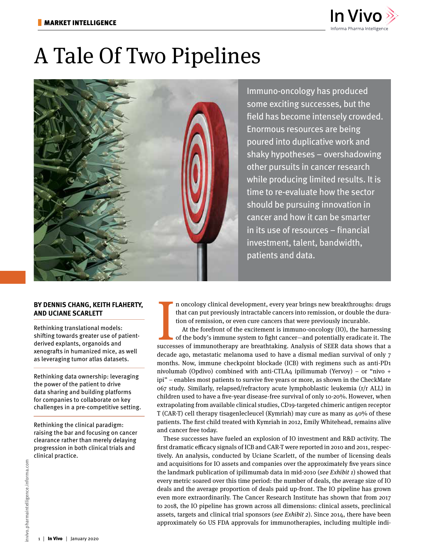

# A Tale Of Two Pipelines



Immuno-oncology has produced some exciting successes, but the field has become intensely crowded. Enormous resources are being poured into duplicative work and shaky hypotheses – overshadowing other pursuits in cancer research while producing limited results. It is time to re-evaluate how the sector should be pursuing innovation in cancer and how it can be smarter in its use of resources – financial investment, talent, bandwidth, patients and data.

## **BY DENNIS CHANG, KEITH FLAHERTY, AND UCIANE SCARLETT**

Rethinking translational models: shifting towards greater use of patientderived explants, organoids and xenografts in humanized mice, as well as leveraging tumor atlas datasets.

Rethinking data ownership: leveraging the power of the patient to drive data sharing and building platforms for companies to collaborate on key challenges in a pre-competitive setting.

Rethinking the clinical paradigm: raising the bar and focusing on cancer clearance rather than merely delaying progression in both clinical trials and clinical practice.

n oncology clinical development, every year brings new breakthroughs: drugs that can put previously intractable cancers into remission, or double the duration of remission, or even cure cancers that were previously incurable.

It is a put previously intractable cancers into remission, or double the duration of remission, or even cure cancers that were previously incurable.<br>At the forefront of the excitement is immuno-oncology (IO), the harnessin At the forefront of the excitement is immuno-oncology (IO), the harnessing of the body's immune system to fight cancer—and potentially eradicate it. The decade ago, metastatic melanoma used to have a dismal median survival of only 7 months. Now, immune checkpoint blockade (ICB) with regimens such as anti-PD1 nivolumab (Opdivo) combined with anti-CTLA4 ipilimumab (Yervoy) – or "nivo + ipi" – enables most patients to survive five years or more, as shown in the CheckMate 067 study. Similarly, relapsed/refractory acute lymphoblastic leukemia (r/r ALL) in children used to have a five-year disease-free survival of only 10-20%. However, when extrapolating from available clinical studies, CD19-targeted chimeric antigen receptor T (CAR-T) cell therapy tisagenlecleucel (Kymriah) may cure as many as 40% of these patients. The first child treated with Kymriah in 2012, Emily Whitehead, remains alive and cancer free today.

These successes have fueled an explosion of IO investment and R&D activity. The first dramatic efficacy signals of ICB and CAR-T were reported in 2010 and 2011, respectively. An analysis, conducted by Uciane Scarlett, of the number of licensing deals and acquisitions for IO assets and companies over the approximately five years since the landmark publication of ipilimumab data in mid-2010 (see Exhibit 1) showed that every metric soared over this time period: the number of deals, the average size of IO deals and the average proportion of deals paid up-front. The IO pipeline has grown even more extraordinarily. The Cancer Research Institute has shown that from 2017 to 2018, the IO pipeline has grown across all dimensions: clinical assets, preclinical assets, targets and clinical trial sponsors (see Exhibit 2). Since 2014, there have been approximately 60 US FDA approvals for immunotherapies, including multiple indi-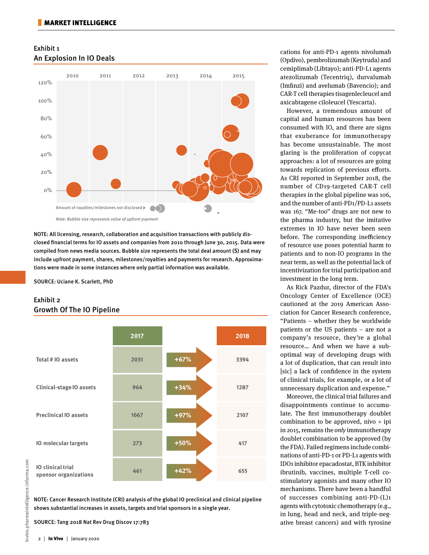## Exhibit 1 An Explosion In IO Deals



NOTE: All licensing, research, collaboration and acquisition transactions with publicly disclosed financial terms for IO assets and companies from 2010 through June 30, 2015. Data were compiled from news media sources. Bubble size represents the total deal amount (\$) and may include upfront payment, shares, milestones/royalties and payments for research. Approximations were made in some instances where only partial information was available.

SOURCE: Uciane K. Scarlett, PhD

# Exhibit 2 Growth Of The IO Pipeline



NOTE: Cancer Research Institute (CRI) analysis of the global IO preclinical and clinical pipeline shows substantial increases in assets, targets and trial sponsors in a single year.

SOURCE: Tang 2018 Nat Rev Drug Discov 17:783

(Opdivo), pembrolizumab (Keytruda) and cemiplimab (Libtayo); anti-PD-L1 agents atezolizumab (Tecentriq), durvalumab (Imfinzi) and avelumab (Bavencio); and CAR-T cell therapies tisagenlecleucel and axicabtagene ciloleucel (Yescarta). However, a tremendous amount of

cations for anti-PD-1 agents nivolumab

capital and human resources has been consumed with IO, and there are signs that exuberance for immunotherapy has become unsustainable. The most glaring is the proliferation of copycat approaches: a lot of resources are going towards replication of previous efforts. As CRI reported in September 2018, the number of CD19-targeted CAR-T cell therapies in the global pipeline was 106, and the number of anti-PD1/PD-L1 assets was 167. "Me-too" drugs are not new to the pharma industry, but the imitative extremes in IO have never been seen before. The corresponding inefficiency of resource use poses potential harm to patients and to non-IO programs in the near term, as well as the potential lack of incentivization for trial participation and investment in the long term.

As Rick Pazdur, director of the FDA's Oncology Center of Excellence (OCE) cautioned at the 2019 American Association for Cancer Research conference, "Patients – whether they be worldwide patients or the US patients – are not a company's resource, they're a global resource… And when we have a suboptimal way of developing drugs with a lot of duplication, that can result into [sic] a lack of confidence in the system of clinical trials, for example, or a lot of unnecessary duplication and expense."

Moreover, the clinical trial failures and disappointments continue to accumulate. The first immunotherapy doublet combination to be approved, nivo  $+$  ipi in 2015, remains the only immunotherapy doublet combination to be approved (by the FDA). Failed regimens include combinations of anti-PD-1 or PD-L1 agents with IDO1 inhibitor epacadostat, BTK inhibitor ibrutinib, vaccines, multiple T-cell costimulatory agonists and many other IO mechanisms. There have been a handful of successes combining anti-PD-(L)1 agents with cytotoxic chemotherapy (e.g., in lung, head and neck, and triple-negative breast cancers) and with tyrosine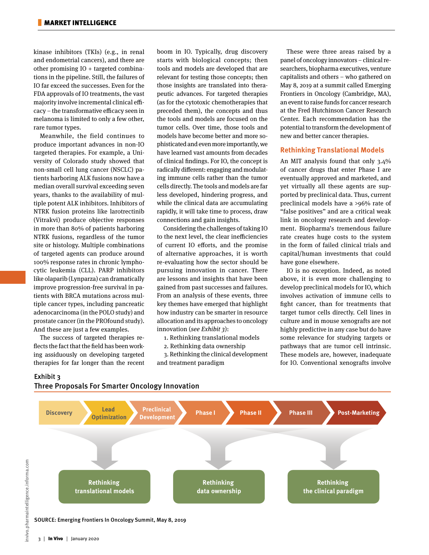kinase inhibitors (TKIs) (e.g., in renal and endometrial cancers), and there are other promising IO + targeted combinations in the pipeline. Still, the failures of IO far exceed the successes. Even for the FDA approvals of IO treatments, the vast majority involve incremental clinical efficacy – the transformative efficacy seen in melanoma is limited to only a few other, rare tumor types.

Meanwhile, the field continues to produce important advances in non-IO targeted therapies. For example, a University of Colorado study showed that non-small cell lung cancer (NSCLC) patients harboring ALK fusions now have a median overall survival exceeding seven years, thanks to the availability of multiple potent ALK inhibitors. Inhibitors of NTRK fusion proteins like larotrectinib (Vitrakvi) produce objective responses in more than 80% of patients harboring NTRK fusions, regardless of the tumor site or histology. Multiple combinations of targeted agents can produce around 100% response rates in chronic lymphocytic leukemia (CLL). PARP inhibitors like olaparib (Lynparza) can dramatically improve progression-free survival in patients with BRCA mutations across multiple cancer types, including pancreatic adenocarcinoma (in the POLO study) and prostate cancer (in the PROfound study). And these are just a few examples.

The success of targeted therapies reflects the fact that the field has been working assiduously on developing targeted therapies for far longer than the recent boom in IO. Typically, drug discovery starts with biological concepts; then tools and models are developed that are relevant for testing those concepts; then those insights are translated into therapeutic advances. For targeted therapies (as for the cytotoxic chemotherapies that preceded them), the concepts and thus the tools and models are focused on the tumor cells. Over time, those tools and models have become better and more sophisticated and even more importantly, we have learned vast amounts from decades of clinical findings. For IO, the concept is radically different: engaging and modulating immune cells rather than the tumor cells directly. The tools and models are far less developed, hindering progress, and while the clinical data are accumulating rapidly, it will take time to process, draw connections and gain insights.

Considering the challenges of taking IO to the next level, the clear inefficiencies of current IO efforts, and the promise of alternative approaches, it is worth re-evaluating how the sector should be pursuing innovation in cancer. There are lessons and insights that have been gained from past successes and failures. From an analysis of these events, three key themes have emerged that highlight how industry can be smarter in resource allocation and its approaches to oncology innovation (see Exhibit 3):

1. Rethinking translational models

2. Rethinking data ownership

 3. Rethinking the clinical development and treatment paradigm

These were three areas raised by a panel of oncology innovators – clinical researchers, biopharma executives, venture capitalists and others – who gathered on May 8, 2019 at a summit called Emerging Frontiers in Oncology (Cambridge, MA), an event to raise funds for cancer research at the Fred Hutchinson Cancer Research Center. Each recommendation has the potential to transform the development of new and better cancer therapies.

#### **Rethinking Translational Models**

An MIT analysis found that only 3.4% of cancer drugs that enter Phase I are eventually approved and marketed, and yet virtually all these agents are supported by preclinical data. Thus, current preclinical models have a >96% rate of "false positives" and are a critical weak link in oncology research and development. Biopharma's tremendous failure rate creates huge costs to the system in the form of failed clinical trials and capital/human investments that could have gone elsewhere.

IO is no exception. Indeed, as noted above, it is even more challenging to develop preclinical models for IO, which involves activation of immune cells to fight cancer, than for treatments that target tumor cells directly. Cell lines in culture and in mouse xenografts are not highly predictive in any case but do have some relevance for studying targets or pathways that are tumor cell intrinsic. These models are, however, inadequate for IO. Conventional xenografts involve

#### Exhibit 3

nvivo.pharmaintelligence.informa.com



Three Proposals For Smarter Oncology Innovation

SOURCE: Emerging Frontiers In Oncology Summit, May 8, 2019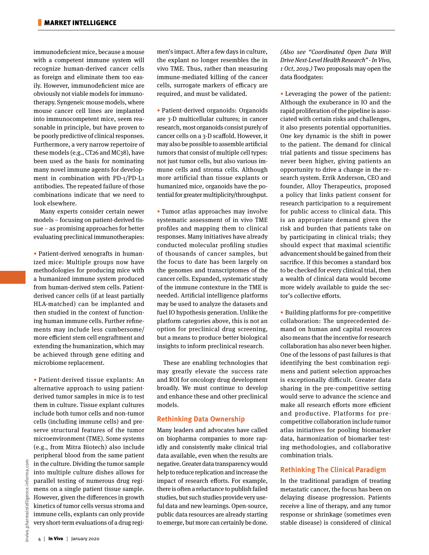immunodeficient mice, because a mouse with a competent immune system will recognize human-derived cancer cells as foreign and eliminate them too easily. However, immunodeficient mice are obviously not viable models for immunotherapy. Syngeneic mouse models, where mouse cancer cell lines are implanted into immunocompetent mice, seem reasonable in principle, but have proven to be poorly predictive of clinical responses. Furthermore, a very narrow repertoire of these models (e.g., CT26 and MC38), have been used as the basis for nominating many novel immune agents for development in combination with PD-1/PD-L1 antibodies. The repeated failure of those combinations indicate that we need to look elsewhere.

Many experts consider certain newer models – focusing on patient-derived tissue – as promising approaches for better evaluating preclinical immunotherapies:

• Patient-derived xenografts in humanized mice: Multiple groups now have methodologies for producing mice with a humanized immune system produced from human-derived stem cells. Patientderived cancer cells (if at least partially HLA-matched) can be implanted and then studied in the context of functioning human immune cells. Further refinements may include less cumbersome/ more efficient stem cell engraftment and extending the humanization, which may be achieved through gene editing and microbiome replacement.

• Patient-derived tissue explants: An alternative approach to using patientderived tumor samples in mice is to test them in culture. Tissue explant cultures include both tumor cells and non-tumor cells (including immune cells) and preserve structural features of the tumor microenvironment (TME). Some systems (e.g., from Mitra Biotech) also include peripheral blood from the same patient in the culture. Dividing the tumor sample into multiple culture dishes allows for parallel testing of numerous drug regimens on a single patient tissue sample. However, given the differences in growth kinetics of tumor cells versus stroma and immune cells, explants can only provide very short-term evaluations of a drug regimen's impact. After a few days in culture, the explant no longer resembles the in vivo TME. Thus, rather than measuring immune-mediated killing of the cancer cells, surrogate markers of efficacy are required, and must be validated.

• Patient-derived organoids: Organoids are 3-D multicellular cultures; in cancer research, most organoids consist purely of cancer cells on a 3-D scaffold. However, it may also be possible to assemble artificial tumors that consist of multiple cell types: not just tumor cells, but also various immune cells and stroma cells. Although more artificial than tissue explants or humanized mice, organoids have the potential for greater multiplicity/throughput.

• Tumor atlas approaches may involve systematic assessment of in vivo TME profiles and mapping them to clinical responses. Many initiatives have already conducted molecular profiling studies of thousands of cancer samples, but the focus to date has been largely on the genomes and transcriptomes of the cancer cells. Expanded, systematic study of the immune contexture in the TME is needed. Artificial intelligence platforms may be used to analyze the datasets and fuel IO hypothesis generation. Unlike the platform categories above, this is not an option for preclinical drug screening, but a means to produce better biological insights to inform preclinical research.

These are enabling technologies that may greatly elevate the success rate and ROI for oncology drug development broadly. We must continue to develop and enhance these and other preclinical models.

#### **Rethinking Data Ownership**

Many leaders and advocates have called on biopharma companies to more rapidly and consistently make clinical trial data available, even when the results are negative. Greater data transparency would help to reduce replication and increase the impact of research efforts. For example, there is often a reluctance to publish failed studies, but such studies provide very useful data and new learnings. Open-source, public data resources are already starting to emerge, but more can certainly be done.

(Also see "Coordinated Open Data Will Drive Next-Level Health Research" - In Vivo, 1 Oct, 2019.) Two proposals may open the data floodgates:

• Leveraging the power of the patient: Although the exuberance in IO and the rapid proliferation of the pipeline is associated with certain risks and challenges, it also presents potential opportunities. One key dynamic is the shift in power to the patient. The demand for clinical trial patients and tissue specimens has never been higher, giving patients an opportunity to drive a change in the research system. Errik Anderson, CEO and founder, Alloy Therapeutics, proposed a policy that links patient consent for research participation to a requirement for public access to clinical data. This is an appropriate demand given the risk and burden that patients take on by participating in clinical trials; they should expect that maximal scientific advancement should be gained from their sacrifice. If this becomes a standard box to be checked for every clinical trial, then a wealth of clinical data would become more widely available to guide the sector's collective efforts.

• Building platforms for pre-competitive collaboration: The unprecedented demand on human and capital resources also means that the incentive for research collaboration has also never been higher. One of the lessons of past failures is that identifying the best combination regimens and patient selection approaches is exceptionally difficult. Greater data sharing in the pre-competitive setting would serve to advance the science and make all research efforts more efficient and productive. Platforms for precompetitive collaboration include tumor atlas initiatives for pooling biomarker data, harmonization of biomarker testing methodologies, and collaborative combination trials.

### **Rethinking The Clinical Paradigm**

In the traditional paradigm of treating metastatic cancer, the focus has been on delaying disease progression. Patients receive a line of therapy, and any tumor response or shrinkage (sometimes even stable disease) is considered of clinical